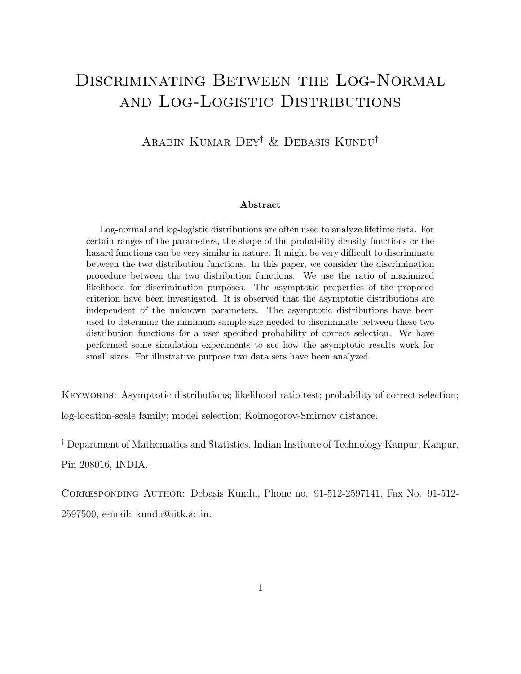# Discriminating Between the Log-Normal and Log-Logistic Distributions

Arabin Kumar Dey† & Debasis Kundu†

#### Abstract

Log-normal and log-logistic distributions are often used to analyze lifetime data. For certain ranges of the parameters, the shape of the probability density functions or the hazard functions can be very similar in nature. It might be very difficult to discriminate between the two distribution functions. In this paper, we consider the discrimination procedure between the two distribution functions. We use the ratio of maximized likelihood for discrimination purposes. The asymptotic properties of the proposed criterion have been investigated. It is observed that the asymptotic distributions are independent of the unknown parameters. The asymptotic distributions have been used to determine the minimum sample size needed to discriminate between these two distribution functions for a user specified probability of correct selection. We have performed some simulation experiments to see how the asymptotic results work for small sizes. For illustrative purpose two data sets have been analyzed.

KEYWORDS: Asymptotic distributions; likelihood ratio test; probability of correct selection; log-location-scale family; model selection; Kolmogorov-Smirnov distance.

† Department of Mathematics and Statistics, Indian Institute of Technology Kanpur, Kanpur, Pin 208016, INDIA.

Corresponding Author: Debasis Kundu, Phone no. 91-512-2597141, Fax No. 91-512- 2597500, e-mail: kundu@iitk.ac.in.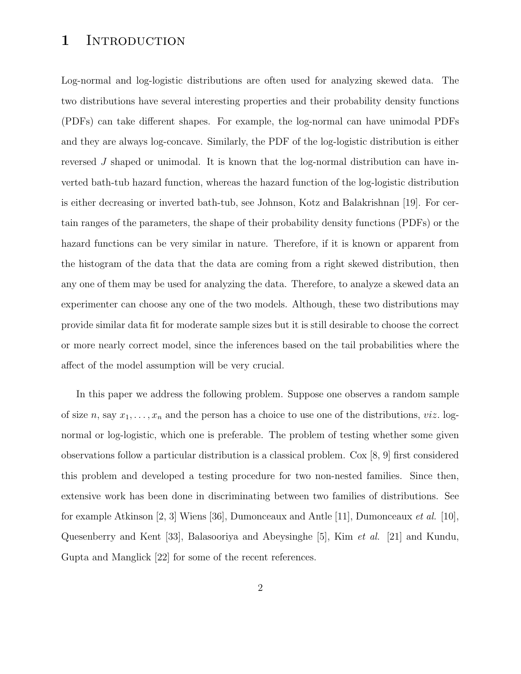#### 1 INTRODUCTION

Log-normal and log-logistic distributions are often used for analyzing skewed data. The two distributions have several interesting properties and their probability density functions (PDFs) can take different shapes. For example, the log-normal can have unimodal PDFs and they are always log-concave. Similarly, the PDF of the log-logistic distribution is either reversed J shaped or unimodal. It is known that the log-normal distribution can have inverted bath-tub hazard function, whereas the hazard function of the log-logistic distribution is either decreasing or inverted bath-tub, see Johnson, Kotz and Balakrishnan [19]. For certain ranges of the parameters, the shape of their probability density functions (PDFs) or the hazard functions can be very similar in nature. Therefore, if it is known or apparent from the histogram of the data that the data are coming from a right skewed distribution, then any one of them may be used for analyzing the data. Therefore, to analyze a skewed data an experimenter can choose any one of the two models. Although, these two distributions may provide similar data fit for moderate sample sizes but it is still desirable to choose the correct or more nearly correct model, since the inferences based on the tail probabilities where the affect of the model assumption will be very crucial.

In this paper we address the following problem. Suppose one observes a random sample of size n, say  $x_1, \ldots, x_n$  and the person has a choice to use one of the distributions, viz. lognormal or log-logistic, which one is preferable. The problem of testing whether some given observations follow a particular distribution is a classical problem. Cox [8, 9] first considered this problem and developed a testing procedure for two non-nested families. Since then, extensive work has been done in discriminating between two families of distributions. See for example Atkinson [2, 3] Wiens [36], Dumonceaux and Antle [11], Dumonceaux *et al.* [10], Quesenberry and Kent [33], Balasooriya and Abeysinghe [5], Kim et al. [21] and Kundu, Gupta and Manglick [22] for some of the recent references.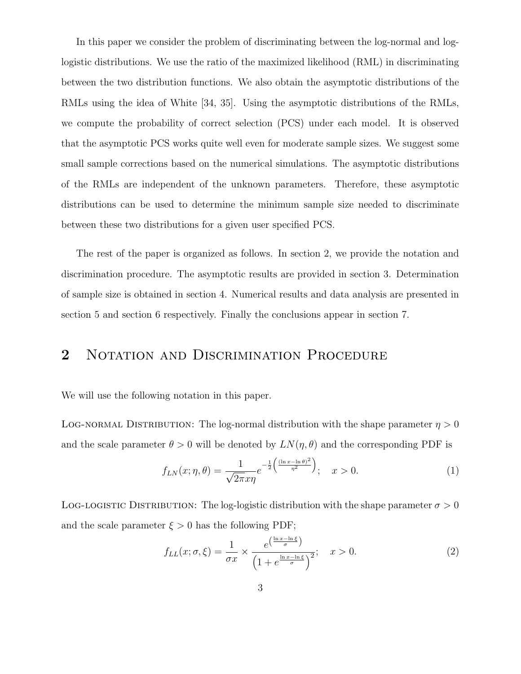In this paper we consider the problem of discriminating between the log-normal and loglogistic distributions. We use the ratio of the maximized likelihood (RML) in discriminating between the two distribution functions. We also obtain the asymptotic distributions of the RMLs using the idea of White [34, 35]. Using the asymptotic distributions of the RMLs, we compute the probability of correct selection (PCS) under each model. It is observed that the asymptotic PCS works quite well even for moderate sample sizes. We suggest some small sample corrections based on the numerical simulations. The asymptotic distributions of the RMLs are independent of the unknown parameters. Therefore, these asymptotic distributions can be used to determine the minimum sample size needed to discriminate between these two distributions for a given user specified PCS.

The rest of the paper is organized as follows. In section 2, we provide the notation and discrimination procedure. The asymptotic results are provided in section 3. Determination of sample size is obtained in section 4. Numerical results and data analysis are presented in section 5 and section 6 respectively. Finally the conclusions appear in section 7.

# 2 NOTATION AND DISCRIMINATION PROCEDURE

We will use the following notation in this paper.

LOG-NORMAL DISTRIBUTION: The log-normal distribution with the shape parameter  $\eta > 0$ and the scale parameter  $\theta > 0$  will be denoted by  $LN(\eta, \theta)$  and the corresponding PDF is

$$
f_{LN}(x;\eta,\theta) = \frac{1}{\sqrt{2\pi}x\eta}e^{-\frac{1}{2}\left(\frac{(\ln x - \ln \theta)^2}{\eta^2}\right)}; \quad x > 0.
$$
 (1)

LOG-LOGISTIC DISTRIBUTION: The log-logistic distribution with the shape parameter  $\sigma > 0$ and the scale parameter  $\xi > 0$  has the following PDF;

$$
f_{LL}(x; \sigma, \xi) = \frac{1}{\sigma x} \times \frac{e^{\left(\frac{\ln x - \ln \xi}{\sigma}\right)}}{\left(1 + e^{\frac{\ln x - \ln \xi}{\sigma}}\right)^2}; \quad x > 0.
$$
 (2)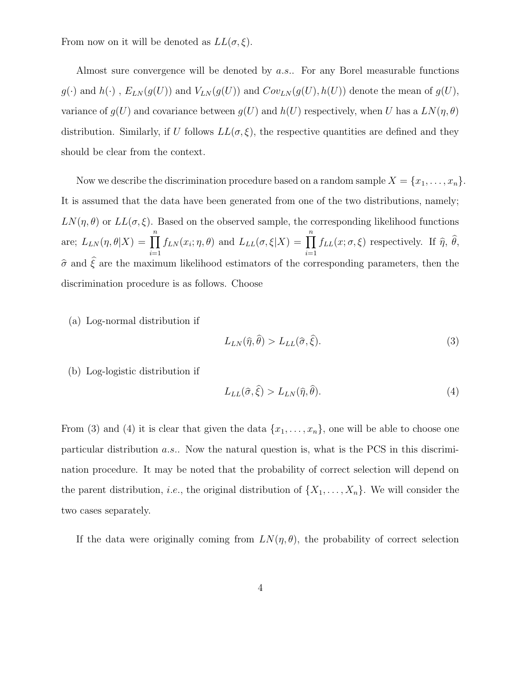From now on it will be denoted as  $LL(\sigma, \xi)$ .

Almost sure convergence will be denoted by a.s.. For any Borel measurable functions  $g(\cdot)$  and  $h(\cdot)$ ,  $E_{LN}(g(U))$  and  $V_{LN}(g(U))$  and  $Cov_{LN}(g(U), h(U))$  denote the mean of  $g(U)$ , variance of  $g(U)$  and covariance between  $g(U)$  and  $h(U)$  respectively, when U has a  $LN(\eta, \theta)$ distribution. Similarly, if U follows  $LL(\sigma, \xi)$ , the respective quantities are defined and they should be clear from the context.

Now we describe the discrimination procedure based on a random sample  $X = \{x_1, \ldots, x_n\}$ . It is assumed that the data have been generated from one of the two distributions, namely;  $LN(\eta, \theta)$  or  $LL(\sigma, \xi)$ . Based on the observed sample, the corresponding likelihood functions are;  $L_{LN}(\eta, \theta|X) =$  $\prod^n$  $i=1$  $f_{LN}(x_i; \eta, \theta)$  and  $L_{LL}(\sigma, \xi|X) =$  $\prod^n$  $\prod_{i=1} f_{LL}(x;\sigma,\xi)$  respectively. If  $\hat{\eta}, \theta$ ,  $\hat{\sigma}$  and  $\hat{\xi}$  are the maximum likelihood estimators of the corresponding parameters, then the discrimination procedure is as follows. Choose

(a) Log-normal distribution if

$$
L_{LN}(\hat{\eta}, \hat{\theta}) > L_{LL}(\hat{\sigma}, \hat{\xi}).
$$
\n(3)

(b) Log-logistic distribution if

$$
L_{LL}(\hat{\sigma}, \hat{\xi}) > L_{LN}(\hat{\eta}, \hat{\theta}).
$$
\n(4)

From (3) and (4) it is clear that given the data  $\{x_1, \ldots, x_n\}$ , one will be able to choose one particular distribution a.s.. Now the natural question is, what is the PCS in this discrimination procedure. It may be noted that the probability of correct selection will depend on the parent distribution, *i.e.*, the original distribution of  $\{X_1, \ldots, X_n\}$ . We will consider the two cases separately.

If the data were originally coming from  $LN(\eta, \theta)$ , the probability of correct selection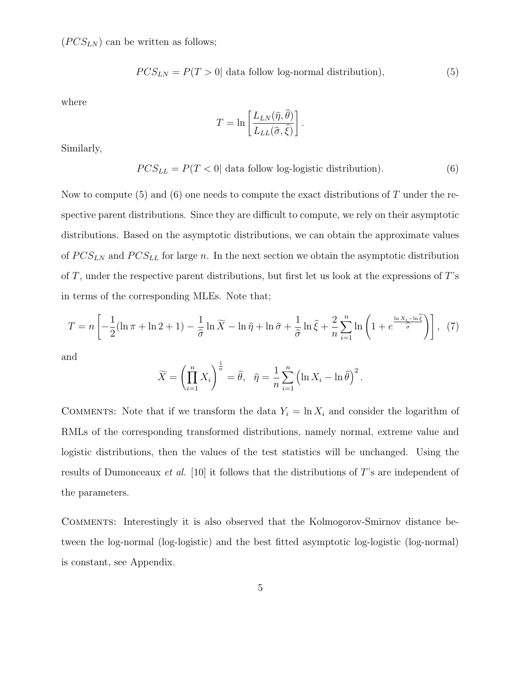$(PCS_{LN})$  can be written as follows;

$$
PCS_{LN} = P(T > 0| data follow log-normal distribution),
$$
\n(5)

.

where

$$
T = \ln \left[ \frac{L_{LN}(\hat{\eta}, \hat{\theta})}{L_{LL}(\hat{\sigma}, \hat{\xi})} \right]
$$

Similarly,

 $PCS_{LL} = P(T < 0| \text{ data follow log-logistic distribution}).$  (6)

Now to compute (5) and (6) one needs to compute the exact distributions of  $T$  under the respective parent distributions. Since they are difficult to compute, we rely on their asymptotic distributions. Based on the asymptotic distributions, we can obtain the approximate values of  $PCS_{LN}$  and  $PCS_{LL}$  for large n. In the next section we obtain the asymptotic distribution of  $T$ , under the respective parent distributions, but first let us look at the expressions of  $T$ 's in terms of the corresponding MLEs. Note that;

$$
T = n \left[ -\frac{1}{2} (\ln \pi + \ln 2 + 1) - \frac{1}{\hat{\sigma}} \ln \widetilde{X} - \ln \widehat{\eta} + \ln \widehat{\sigma} + \frac{1}{\hat{\sigma}} \ln \widehat{\xi} + \frac{2}{n} \sum_{i=1}^{n} \ln \left( 1 + e^{\frac{\ln X_i - \ln \widehat{\xi}}{\hat{\sigma}}} \right) \right], \tag{7}
$$

and

$$
\widetilde{X} = \left(\prod_{i=1}^n X_i\right)^{\frac{1}{n}} = \widehat{\theta}, \quad \widehat{\eta} = \frac{1}{n} \sum_{i=1}^n \left(\ln X_i - \ln \widehat{\theta}\right)^2.
$$

COMMENTS: Note that if we transform the data  $Y_i = \ln X_i$  and consider the logarithm of RMLs of the corresponding transformed distributions, namely normal, extreme value and logistic distributions, then the values of the test statistics will be unchanged. Using the results of Dumonceaux et al. [10] it follows that the distributions of T's are independent of the parameters.

Comments: Interestingly it is also observed that the Kolmogorov-Smirnov distance between the log-normal (log-logistic) and the best fitted asymptotic log-logistic (log-normal) is constant, see Appendix.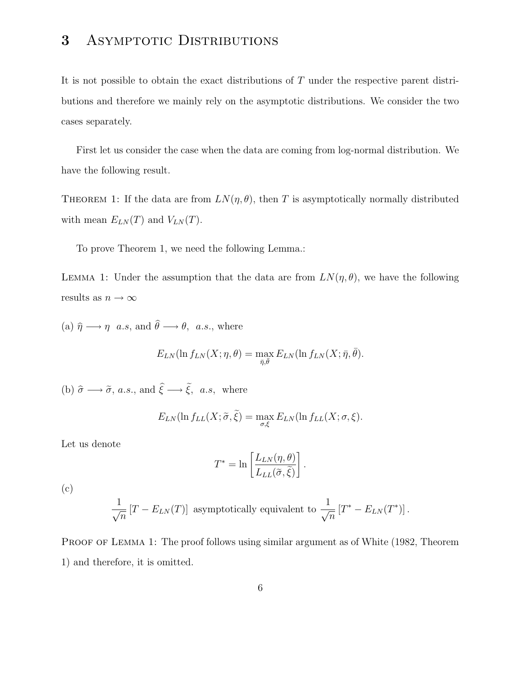# 3 ASYMPTOTIC DISTRIBUTIONS

It is not possible to obtain the exact distributions of T under the respective parent distributions and therefore we mainly rely on the asymptotic distributions. We consider the two cases separately.

First let us consider the case when the data are coming from log-normal distribution. We have the following result.

THEOREM 1: If the data are from  $LN(\eta, \theta)$ , then T is asymptotically normally distributed with mean  $E_{LN}(T)$  and  $V_{LN}(T)$ .

To prove Theorem 1, we need the following Lemma.:

LEMMA 1: Under the assumption that the data are from  $LN(\eta, \theta)$ , we have the following results as  $n \to \infty$ 

(a)  $\hat{\eta} \longrightarrow \eta$  a.s, and  $\hat{\theta} \longrightarrow \theta$ , a.s., where

$$
E_{LN}(\ln f_{LN}(X;\eta,\theta) = \max_{\bar{\eta},\bar{\theta}} E_{LN}(\ln f_{LN}(X;\bar{\eta},\bar{\theta})).
$$

(b)  $\hat{\sigma} \longrightarrow \tilde{\sigma}$ , a.s., and  $\hat{\xi} \longrightarrow \tilde{\xi}$ , a.s, where

$$
E_{LN}(\ln f_{LL}(X;\tilde{\sigma},\tilde{\xi}) = \max_{\sigma,\xi} E_{LN}(\ln f_{LL}(X;\sigma,\xi)).
$$

Let us denote

$$
T^* = \ln \left[ \frac{L_{LN}(\eta, \theta)}{L_{LL}(\tilde{\sigma}, \tilde{\xi})} \right].
$$

(c)

$$
\frac{1}{\sqrt{n}}\left[T - E_{LN}(T)\right]
$$
 asymptotically equivalent to 
$$
\frac{1}{\sqrt{n}}\left[T^* - E_{LN}(T^*)\right].
$$

PROOF OF LEMMA 1: The proof follows using similar argument as of White (1982, Theorem 1) and therefore, it is omitted.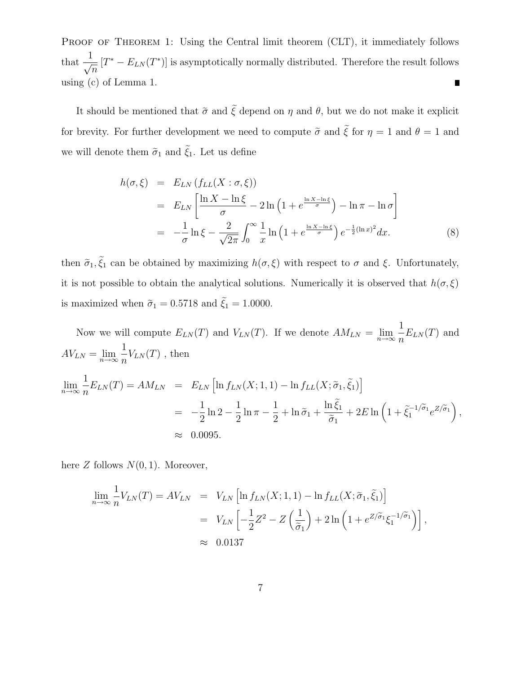PROOF OF THEOREM 1: Using the Central limit theorem (CLT), it immediately follows that  $\frac{1}{\sqrt{n}}$  $[T^* - E_{LN}(T^*)]$  is asymptotically normally distributed. Therefore the result follows using (c) of Lemma 1.  $\blacksquare$ 

It should be mentioned that  $\tilde{\sigma}$  and  $\tilde{\xi}$  depend on  $\eta$  and  $\theta$ , but we do not make it explicit for brevity. For further development we need to compute  $\tilde{\sigma}$  and  $\tilde{\xi}$  for  $\eta = 1$  and  $\theta = 1$  and we will denote them  $\tilde{\sigma}_1$  and  $\tilde{\xi_1}.$  Let us define

$$
h(\sigma,\xi) = E_{LN} \left( f_{LL}(X:\sigma,\xi) \right)
$$
  
=  $E_{LN} \left[ \frac{\ln X - \ln \xi}{\sigma} - 2 \ln \left( 1 + e^{\frac{\ln X - \ln \xi}{\sigma}} \right) - \ln \pi - \ln \sigma \right]$   
=  $-\frac{1}{\sigma} \ln \xi - \frac{2}{\sqrt{2\pi}} \int_0^\infty \frac{1}{x} \ln \left( 1 + e^{\frac{\ln X - \ln \xi}{\sigma}} \right) e^{-\frac{1}{2} (\ln x)^2} dx.$  (8)

then  $\tilde{\sigma}_1, \xi_1$  can be obtained by maximizing  $h(\sigma, \xi)$  with respect to  $\sigma$  and  $\xi$ . Unfortunately, it is not possible to obtain the analytical solutions. Numerically it is observed that  $h(\sigma, \xi)$ is maximized when  $\widetilde{\sigma}_1 = 0.5718$  and  $\widetilde{\xi}_1 = 1.0000.$ 

Now we will compute  $E_{LN}(T)$  and  $V_{LN}(T)$ . If we denote  $AM_{LN} = \lim_{n \to \infty}$ 1  $\frac{1}{n}E_{LN}(T)$  and  $AV_{LN} = \lim_{n \to \infty}$ 1  $\frac{1}{n}V_{LN}(T)$ , then

$$
\lim_{n \to \infty} \frac{1}{n} E_{LN}(T) = AM_{LN} = E_{LN} \left[ \ln f_{LN}(X; 1, 1) - \ln f_{LL}(X; \tilde{\sigma}_1, \tilde{\xi}_1) \right]
$$
  
= 
$$
-\frac{1}{2} \ln 2 - \frac{1}{2} \ln \pi - \frac{1}{2} + \ln \tilde{\sigma}_1 + \frac{\ln \tilde{\xi}_1}{\tilde{\sigma}_1} + 2E \ln \left( 1 + \tilde{\xi}_1^{-1/\tilde{\sigma}_1} e^{Z/\tilde{\sigma}_1} \right),
$$
  

$$
\approx 0.0095.
$$

here  $Z$  follows  $N(0, 1)$ . Moreover,

$$
\lim_{n \to \infty} \frac{1}{n} V_{LN}(T) = AV_{LN} = V_{LN} \left[ \ln f_{LN}(X; 1, 1) - \ln f_{LL}(X; \tilde{\sigma}_1, \tilde{\xi}_1) \right]
$$
  
=  $V_{LN} \left[ -\frac{1}{2} Z^2 - Z \left( \frac{1}{\tilde{\sigma}_1} \right) + 2 \ln \left( 1 + e^{Z/\tilde{\sigma}_1} \xi_1^{-1/\tilde{\sigma}_1} \right) \right],$   
 $\approx 0.0137$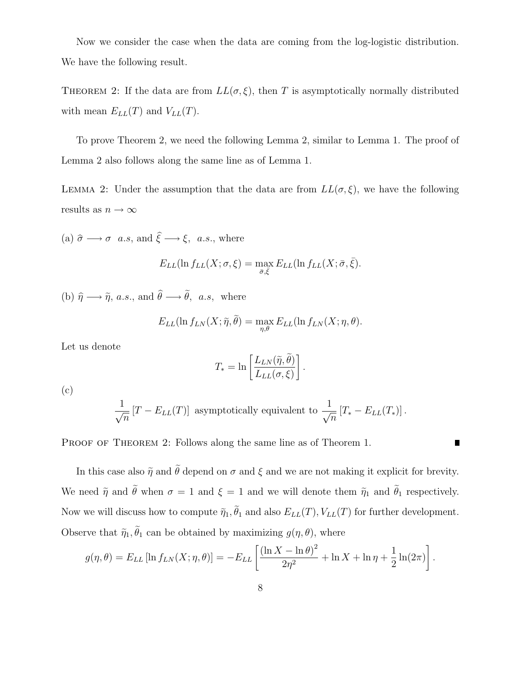Now we consider the case when the data are coming from the log-logistic distribution. We have the following result.

THEOREM 2: If the data are from  $LL(\sigma, \xi)$ , then T is asymptotically normally distributed with mean  $E_{LL}(T)$  and  $V_{LL}(T)$ .

To prove Theorem 2, we need the following Lemma 2, similar to Lemma 1. The proof of Lemma 2 also follows along the same line as of Lemma 1.

LEMMA 2: Under the assumption that the data are from  $LL(\sigma, \xi)$ , we have the following results as  $n\to\infty$ 

(a)  $\hat{\sigma} \longrightarrow \sigma$  a.s, and  $\hat{\xi} \longrightarrow \xi$ , a.s., where

$$
E_{LL}(\ln f_{LL}(X;\sigma,\xi) = \max_{\bar{\sigma},\bar{\xi}} E_{LL}(\ln f_{LL}(X;\bar{\sigma},\bar{\xi}).
$$

(b)  $\hat{\eta} \longrightarrow \tilde{\eta}$ , a.s., and  $\hat{\theta} \longrightarrow \tilde{\theta}$ , a.s, where

$$
E_{LL}(\ln f_{LN}(X;\tilde{\eta},\tilde{\theta}) = \max_{\eta,\theta} E_{LL}(\ln f_{LN}(X;\eta,\theta)).
$$

Let us denote

$$
T_* = \ln \left[ \frac{L_{LN}(\tilde{\eta}, \tilde{\theta})}{L_{LL}(\sigma, \xi)} \right].
$$

(c)

$$
\frac{1}{\sqrt{n}} [T - E_{LL}(T)]
$$
 asymptotically equivalent to 
$$
\frac{1}{\sqrt{n}} [T_* - E_{LL}(T_*)].
$$

 $\blacksquare$ 

PROOF OF THEOREM 2: Follows along the same line as of Theorem 1.

In this case also  $\tilde{\eta}$  and  $\tilde{\theta}$  depend on  $\sigma$  and  $\xi$  and we are not making it explicit for brevity. We need  $\tilde{\eta}$  and  $\tilde{\theta}$  when  $\sigma = 1$  and  $\xi = 1$  and we will denote them  $\tilde{\eta}_1$  and  $\tilde{\theta}_1$  respectively. Now we will discuss how to compute  $\tilde{\eta}_1, \theta_1$  and also  $E_{LL}(T), V_{LL}(T)$  for further development. Observe that  $\tilde{\eta}_1, \theta_1$  can be obtained by maximizing  $g(\eta, \theta)$ , where

$$
g(\eta, \theta) = E_{LL} [\ln f_{LN}(X; \eta, \theta)] = -E_{LL} \left[ \frac{(\ln X - \ln \theta)^2}{2\eta^2} + \ln X + \ln \eta + \frac{1}{2} \ln(2\pi) \right].
$$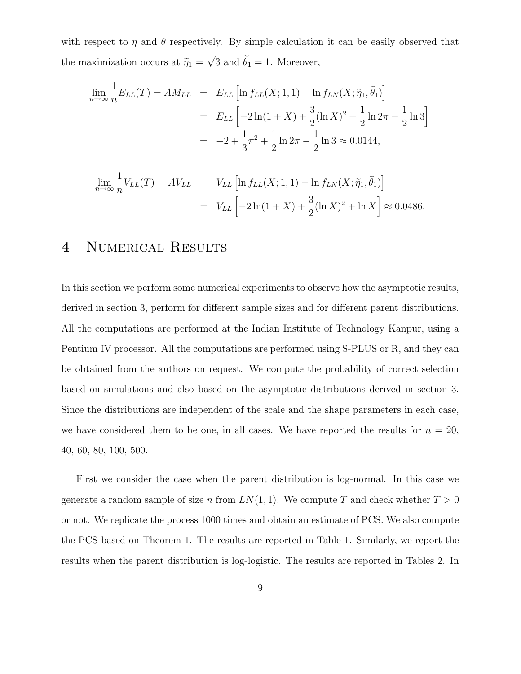with respect to  $\eta$  and  $\theta$  respectively. By simple calculation it can be easily observed that the maximization occurs at  $\tilde{\eta}_1 = \sqrt{3}$  and  $\tilde{\theta}_1 = 1$ . Moreover,

$$
\lim_{n \to \infty} \frac{1}{n} E_{LL}(T) = AM_{LL} = E_{LL} \left[ \ln f_{LL}(X; 1, 1) - \ln f_{LN}(X; \tilde{\eta}_1, \tilde{\theta}_1) \right]
$$
  
=  $E_{LL} \left[ -2 \ln(1 + X) + \frac{3}{2} (\ln X)^2 + \frac{1}{2} \ln 2\pi - \frac{1}{2} \ln 3 \right]$   
=  $-2 + \frac{1}{3} \pi^2 + \frac{1}{2} \ln 2\pi - \frac{1}{2} \ln 3 \approx 0.0144,$ 

$$
\lim_{n \to \infty} \frac{1}{n} V_{LL}(T) = AV_{LL} = V_{LL} \left[ \ln f_{LL}(X; 1, 1) - \ln f_{LN}(X; \tilde{\eta}_1, \tilde{\theta}_1) \right]
$$

$$
= V_{LL} \left[ -2 \ln(1 + X) + \frac{3}{2} (\ln X)^2 + \ln X \right] \approx 0.0486.
$$

### 4 NUMERICAL RESULTS

In this section we perform some numerical experiments to observe how the asymptotic results, derived in section 3, perform for different sample sizes and for different parent distributions. All the computations are performed at the Indian Institute of Technology Kanpur, using a Pentium IV processor. All the computations are performed using S-PLUS or R, and they can be obtained from the authors on request. We compute the probability of correct selection based on simulations and also based on the asymptotic distributions derived in section 3. Since the distributions are independent of the scale and the shape parameters in each case, we have considered them to be one, in all cases. We have reported the results for  $n = 20$ , 40, 60, 80, 100, 500.

First we consider the case when the parent distribution is log-normal. In this case we generate a random sample of size n from  $LN(1, 1)$ . We compute T and check whether  $T > 0$ or not. We replicate the process 1000 times and obtain an estimate of PCS. We also compute the PCS based on Theorem 1. The results are reported in Table 1. Similarly, we report the results when the parent distribution is log-logistic. The results are reported in Tables 2. In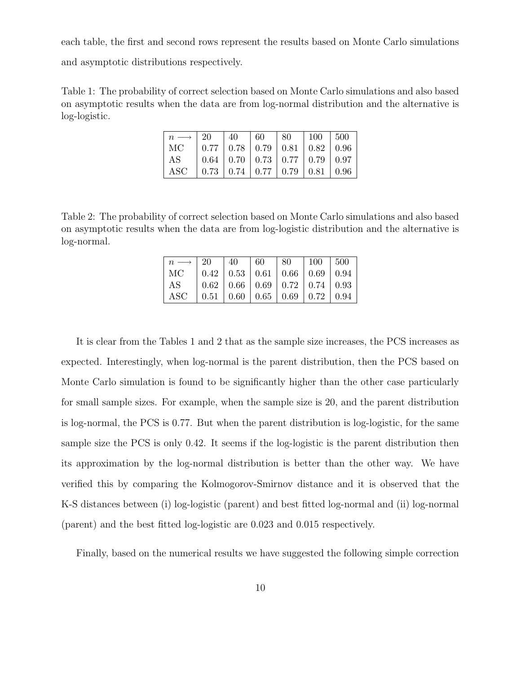each table, the first and second rows represent the results based on Monte Carlo simulations

and asymptotic distributions respectively.

Table 1: The probability of correct selection based on Monte Carlo simulations and also based on asymptotic results when the data are from log-normal distribution and the alternative is log-logistic.

| $n \longrightarrow 20$ 40 60 80 100 500 |                                                                     |  |  |  |
|-----------------------------------------|---------------------------------------------------------------------|--|--|--|
| $\rm MC$                                | $\mid 0.77 \mid 0.78 \mid 0.79 \mid 0.81 \mid 0.82 \mid 0.96$       |  |  |  |
| $\mathbf{A}\mathbf{S}$                  | $\vert 0.64 \vert 0.70 \vert 0.73 \vert 0.77 \vert 0.79 \vert 0.97$ |  |  |  |
| $\rm{ASC}$                              | $\vert 0.73 \vert 0.74 \vert 0.77 \vert 0.79 \vert 0.81 \vert 0.96$ |  |  |  |

Table 2: The probability of correct selection based on Monte Carlo simulations and also based on asymptotic results when the data are from log-logistic distribution and the alternative is log-normal.

|            | 20   40   60   80   100   500                                       |  |  |  |
|------------|---------------------------------------------------------------------|--|--|--|
| MC         | $\vert 0.42 \vert 0.53 \vert 0.61 \vert 0.66 \vert 0.69 \vert 0.94$ |  |  |  |
| AS         | $\vert 0.62 \vert 0.66 \vert 0.69 \vert 0.72 \vert 0.74 \vert 0.93$ |  |  |  |
| <b>ASC</b> | $\vert 0.51 \vert 0.60 \vert 0.65 \vert 0.69 \vert 0.72 \vert 0.94$ |  |  |  |

It is clear from the Tables 1 and 2 that as the sample size increases, the PCS increases as expected. Interestingly, when log-normal is the parent distribution, then the PCS based on Monte Carlo simulation is found to be significantly higher than the other case particularly for small sample sizes. For example, when the sample size is 20, and the parent distribution is log-normal, the PCS is 0.77. But when the parent distribution is log-logistic, for the same sample size the PCS is only 0.42. It seems if the log-logistic is the parent distribution then its approximation by the log-normal distribution is better than the other way. We have verified this by comparing the Kolmogorov-Smirnov distance and it is observed that the K-S distances between (i) log-logistic (parent) and best fitted log-normal and (ii) log-normal (parent) and the best fitted log-logistic are 0.023 and 0.015 respectively.

Finally, based on the numerical results we have suggested the following simple correction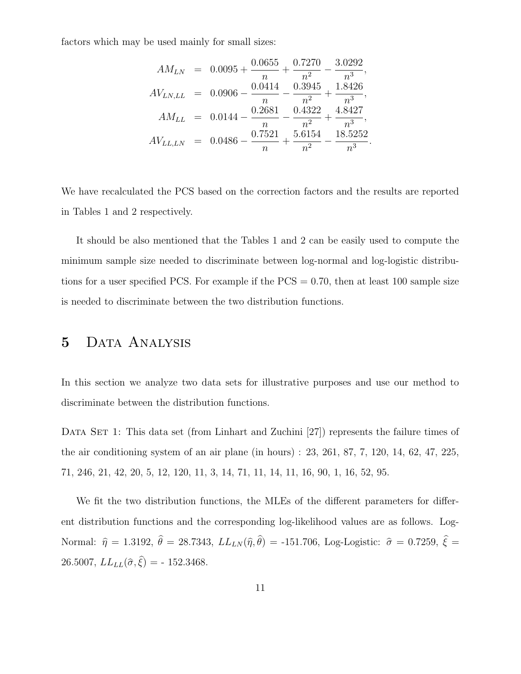factors which may be used mainly for small sizes:

$$
AM_{LN} = 0.0095 + \frac{0.0655}{n} + \frac{0.7270}{n^2} - \frac{3.0292}{n^3},
$$
  
\n
$$
AV_{LN,LL} = 0.0906 - \frac{0.0414}{n} - \frac{0.3945}{n^2} + \frac{1.8426}{n^3},
$$
  
\n
$$
AM_{LL} = 0.0144 - \frac{0.2681}{n} - \frac{0.4322}{n^2} + \frac{4.8427}{n^3},
$$
  
\n
$$
AV_{LL,LN} = 0.0486 - \frac{0.7521}{n} + \frac{5.6154}{n^2} - \frac{18.5252}{n^3}.
$$

We have recalculated the PCS based on the correction factors and the results are reported in Tables 1 and 2 respectively.

It should be also mentioned that the Tables 1 and 2 can be easily used to compute the minimum sample size needed to discriminate between log-normal and log-logistic distributions for a user specified PCS. For example if the  $PCS = 0.70$ , then at least 100 sample size is needed to discriminate between the two distribution functions.

#### 5 Data Analysis

In this section we analyze two data sets for illustrative purposes and use our method to discriminate between the distribution functions.

DATA SET 1: This data set (from Linhart and Zuchini [27]) represents the failure times of the air conditioning system of an air plane (in hours) : 23, 261, 87, 7, 120, 14, 62, 47, 225, 71, 246, 21, 42, 20, 5, 12, 120, 11, 3, 14, 71, 11, 14, 11, 16, 90, 1, 16, 52, 95.

We fit the two distribution functions, the MLEs of the different parameters for different distribution functions and the corresponding log-likelihood values are as follows. Log-Normal:  $\hat{\eta} = 1.3192, \ \theta = 28.7343, \ LL_{LN} (\hat{\eta}, \theta) = -151.706, \ Log\text{-Logistic: } \hat{\sigma} = 0.7259, \ \xi =$  $26.5007, LL_{LL}(\hat{\sigma}, \xi) = -152.3468.$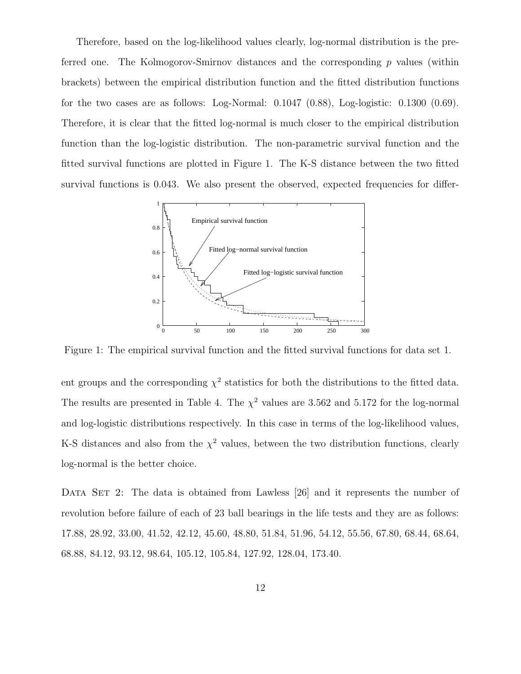Therefore, based on the log-likelihood values clearly, log-normal distribution is the preferred one. The Kolmogorov-Smirnov distances and the corresponding  $p$  values (within brackets) between the empirical distribution function and the fitted distribution functions for the two cases are as follows: Log-Normal:  $0.1047$   $(0.88)$ , Log-logistic:  $0.1300$   $(0.69)$ . Therefore, it is clear that the fitted log-normal is much closer to the empirical distribution function than the log-logistic distribution. The non-parametric survival function and the fitted survival functions are plotted in Figure 1. The K-S distance between the two fitted survival functions is 0.043. We also present the observed, expected frequencies for differ-



Figure 1: The empirical survival function and the fitted survival functions for data set 1.

ent groups and the corresponding  $\chi^2$  statistics for both the distributions to the fitted data. The results are presented in Table 4. The  $\chi^2$  values are 3.562 and 5.172 for the log-normal and log-logistic distributions respectively. In this case in terms of the log-likelihood values, K-S distances and also from the  $\chi^2$  values, between the two distribution functions, clearly log-normal is the better choice.

DATA SET 2: The data is obtained from Lawless [26] and it represents the number of revolution before failure of each of 23 ball bearings in the life tests and they are as follows: 17.88, 28.92, 33.00, 41.52, 42.12, 45.60, 48.80, 51.84, 51.96, 54.12, 55.56, 67.80, 68.44, 68.64, 68.88, 84.12, 93.12, 98.64, 105.12, 105.84, 127.92, 128.04, 173.40.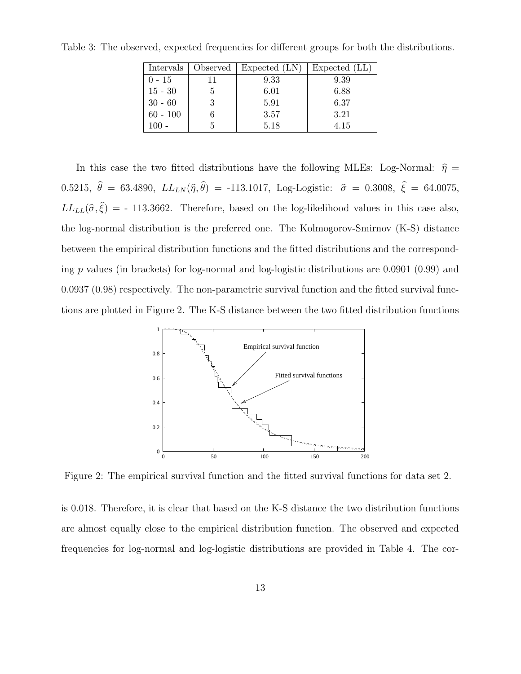| Intervals  | Observed | Expected (LN) | Expected (LL) |
|------------|----------|---------------|---------------|
| $0 - 15$   | 11       | 9.33          | 9.39          |
| $15 - 30$  | 5        | 6.01          | 6.88          |
| $30 - 60$  | 3        | 5.91          | 6.37          |
| $60 - 100$ |          | 3.57          | 3.21          |
|            |          | 5.18          | 4.15          |

Table 3: The observed, expected frequencies for different groups for both the distributions.

In this case the two fitted distributions have the following MLEs: Log-Normal:  $\hat{\eta} =$ 0.5215,  $\theta = 63.4890, \ LL_{LN}(\hat{\eta}, \theta) = -113.1017, \ Log\text{-Logistic: } \hat{\sigma} = 0.3008, \xi = 64.0075,$  $LL_{LL}(\hat{\sigma}, \xi) = -113.3662$ . Therefore, based on the log-likelihood values in this case also, the log-normal distribution is the preferred one. The Kolmogorov-Smirnov (K-S) distance between the empirical distribution functions and the fitted distributions and the corresponding p values (in brackets) for log-normal and log-logistic distributions are  $0.0901$  (0.99) and 0.0937 (0.98) respectively. The non-parametric survival function and the fitted survival functions are plotted in Figure 2. The K-S distance between the two fitted distribution functions



Figure 2: The empirical survival function and the fitted survival functions for data set 2.

is 0.018. Therefore, it is clear that based on the K-S distance the two distribution functions are almost equally close to the empirical distribution function. The observed and expected frequencies for log-normal and log-logistic distributions are provided in Table 4. The cor-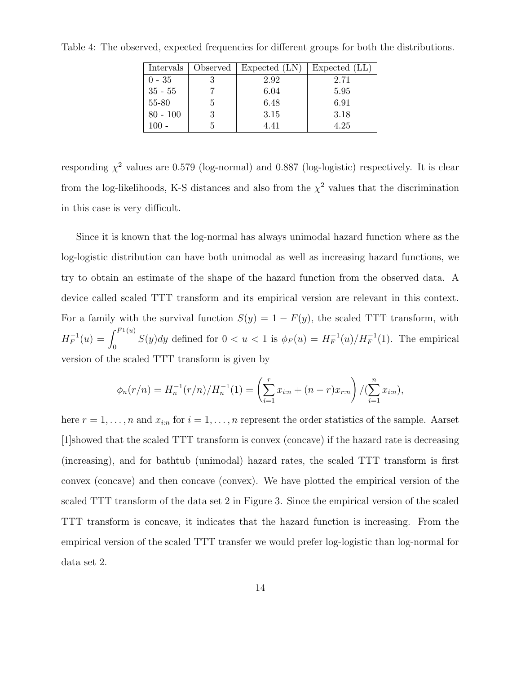| Intervals  | Observed | Expected (LN) | Expected (LL) |
|------------|----------|---------------|---------------|
| $0 - 35$   |          | 2.92          | 2.71          |
| $35 - 55$  |          | 6.04          | 5.95          |
| 55-80      | h        | 6.48          | 6.91          |
| $80 - 100$ | 3        | 3.15          | 3.18          |
|            |          | 4.41          | 4.25          |

Table 4: The observed, expected frequencies for different groups for both the distributions.

responding  $\chi^2$  values are 0.579 (log-normal) and 0.887 (log-logistic) respectively. It is clear from the log-likelihoods, K-S distances and also from the  $\chi^2$  values that the discrimination in this case is very difficult.

Since it is known that the log-normal has always unimodal hazard function where as the log-logistic distribution can have both unimodal as well as increasing hazard functions, we try to obtain an estimate of the shape of the hazard function from the observed data. A device called scaled TTT transform and its empirical version are relevant in this context. For a family with the survival function  $S(y) = 1 - F(y)$ , the scaled TTT transform, with  $H_F^{-1}(u) = \int_0^{F_1(u)}$  $\int_0^{+\infty} S(y) dy$  defined for  $0 < u < 1$  is  $\phi_F(u) = H_F^{-1}(u)/H_F^{-1}(1)$ . The empirical version of the scaled TTT transform is given by

$$
\phi_n(r/n) = H_n^{-1}(r/n)/H_n^{-1}(1) = \left(\sum_{i=1}^r x_{i:n} + (n-r)x_{r:n}\right)/(\sum_{i=1}^n x_{i:n}),
$$

here  $r = 1, \ldots, n$  and  $x_{i:n}$  for  $i = 1, \ldots, n$  represent the order statistics of the sample. Aarset [1]showed that the scaled TTT transform is convex (concave) if the hazard rate is decreasing (increasing), and for bathtub (unimodal) hazard rates, the scaled TTT transform is first convex (concave) and then concave (convex). We have plotted the empirical version of the scaled TTT transform of the data set 2 in Figure 3. Since the empirical version of the scaled TTT transform is concave, it indicates that the hazard function is increasing. From the empirical version of the scaled TTT transfer we would prefer log-logistic than log-normal for data set 2.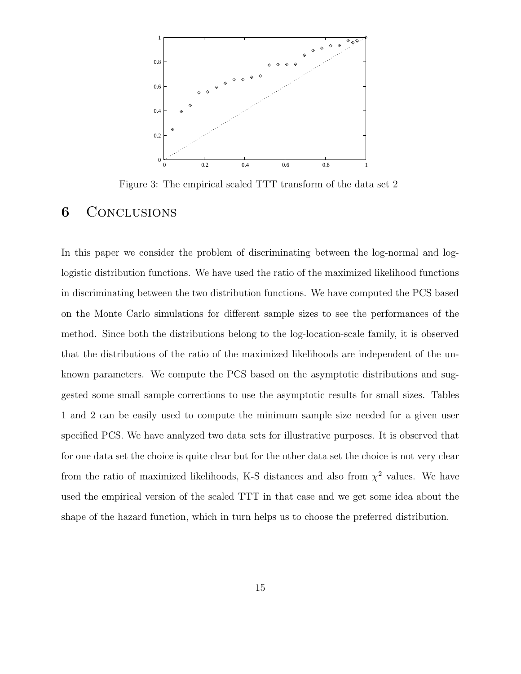

Figure 3: The empirical scaled TTT transform of the data set 2

#### **6** CONCLUSIONS

In this paper we consider the problem of discriminating between the log-normal and loglogistic distribution functions. We have used the ratio of the maximized likelihood functions in discriminating between the two distribution functions. We have computed the PCS based on the Monte Carlo simulations for different sample sizes to see the performances of the method. Since both the distributions belong to the log-location-scale family, it is observed that the distributions of the ratio of the maximized likelihoods are independent of the unknown parameters. We compute the PCS based on the asymptotic distributions and suggested some small sample corrections to use the asymptotic results for small sizes. Tables 1 and 2 can be easily used to compute the minimum sample size needed for a given user specified PCS. We have analyzed two data sets for illustrative purposes. It is observed that for one data set the choice is quite clear but for the other data set the choice is not very clear from the ratio of maximized likelihoods, K-S distances and also from  $\chi^2$  values. We have used the empirical version of the scaled TTT in that case and we get some idea about the shape of the hazard function, which in turn helps us to choose the preferred distribution.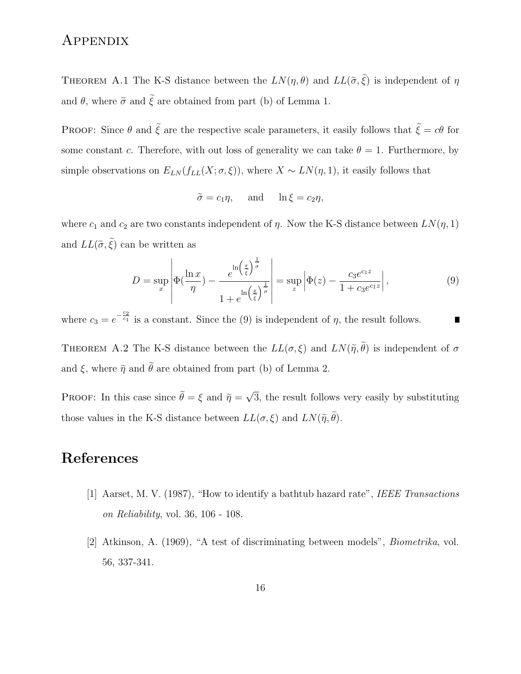# **APPENDIX**

THEOREM A.1 The K-S distance between the  $LN(\eta, \theta)$  and  $LL(\tilde{\sigma}, \xi)$  is independent of  $\eta$ and  $\theta$ , where  $\tilde{\sigma}$  and  $\tilde{\xi}$  are obtained from part (b) of Lemma 1.

PROOF: Since  $\theta$  and  $\tilde{\xi}$  are the respective scale parameters, it easily follows that  $\tilde{\xi} = c\theta$  for some constant c. Therefore, with out loss of generality we can take  $\theta = 1$ . Furthermore, by simple observations on  $E_{LN}(f_{LL}(X;\sigma,\xi))$ , where  $X \sim LN(\eta, 1)$ , it easily follows that

$$
\tilde{\sigma} = c_1 \eta
$$
, and  $\ln \xi = c_2 \eta$ ,

where  $c_1$  and  $c_2$  are two constants independent of  $\eta$ . Now the K-S distance between  $LN(\eta, 1)$ and  $LL(\tilde{\sigma}, \xi)$  can be written as

$$
D = \sup_{x} \left| \Phi\left(\frac{\ln x}{\eta}\right) - \frac{e^{\ln\left(\frac{x}{\xi}\right)^{\frac{1}{\sigma}}}}{1 + e^{\ln\left(\frac{x}{\xi}\right)^{\frac{1}{\sigma}}}} \right| = \sup_{z} \left| \Phi(z) - \frac{c_3 e^{c_1 z}}{1 + c_3 e^{c_1 z}} \right|,
$$
\n(9)

where  $c_3 = e^{-\frac{c_2}{c_1}}$  is a constant. Since the (9) is independent of  $\eta$ , the result follows. ш

THEOREM A.2 The K-S distance between the  $LL(\sigma, \xi)$  and  $LN(\tilde{\eta}, \theta)$  is independent of  $\sigma$ and  $\xi$ , where  $\tilde{\eta}$  and  $\tilde{\theta}$  are obtained from part (b) of Lemma 2.

PROOF: In this case since  $\tilde{\theta} = \xi$  and  $\tilde{\eta} = \sqrt{3}$ , the result follows very easily by substituting those values in the K-S distance between  $LL(\sigma, \xi)$  and  $LN(\tilde{\eta}, \theta)$ .

# References

- [1] Aarset, M. V. (1987), "How to identify a bathtub hazard rate", IEEE Transactions on Reliability, vol. 36, 106 - 108.
- [2] Atkinson, A. (1969), "A test of discriminating between models", Biometrika, vol. 56, 337-341.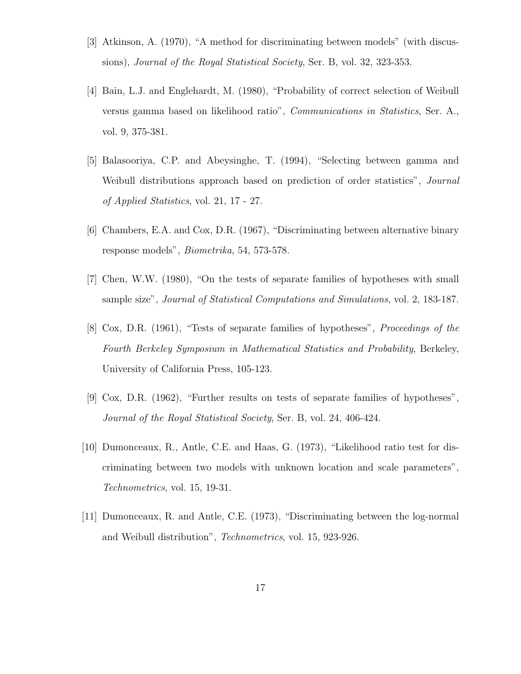- [3] Atkinson, A. (1970), "A method for discriminating between models" (with discussions), Journal of the Royal Statistical Society, Ser. B, vol. 32, 323-353.
- [4] Bain, L.J. and Englehardt, M. (1980), "Probability of correct selection of Weibull versus gamma based on likelihood ratio", Communications in Statistics, Ser. A., vol. 9, 375-381.
- [5] Balasooriya, C.P. and Abeysinghe, T. (1994), "Selecting between gamma and Weibull distributions approach based on prediction of order statistics", *Journal* of Applied Statistics, vol. 21, 17 - 27.
- [6] Chambers, E.A. and Cox, D.R. (1967), "Discriminating between alternative binary response models", Biometrika, 54, 573-578.
- [7] Chen, W.W. (1980), "On the tests of separate families of hypotheses with small sample size", Journal of Statistical Computations and Simulations, vol. 2, 183-187.
- [8] Cox, D.R. (1961), "Tests of separate families of hypotheses", Proceedings of the Fourth Berkeley Symposium in Mathematical Statistics and Probability, Berkeley, University of California Press, 105-123.
- [9] Cox, D.R. (1962), "Further results on tests of separate families of hypotheses", Journal of the Royal Statistical Society, Ser. B, vol. 24, 406-424.
- [10] Dumonceaux, R., Antle, C.E. and Haas, G. (1973), "Likelihood ratio test for discriminating between two models with unknown location and scale parameters", Technometrics, vol. 15, 19-31.
- [11] Dumonceaux, R. and Antle, C.E. (1973), "Discriminating between the log-normal and Weibull distribution", Technometrics, vol. 15, 923-926.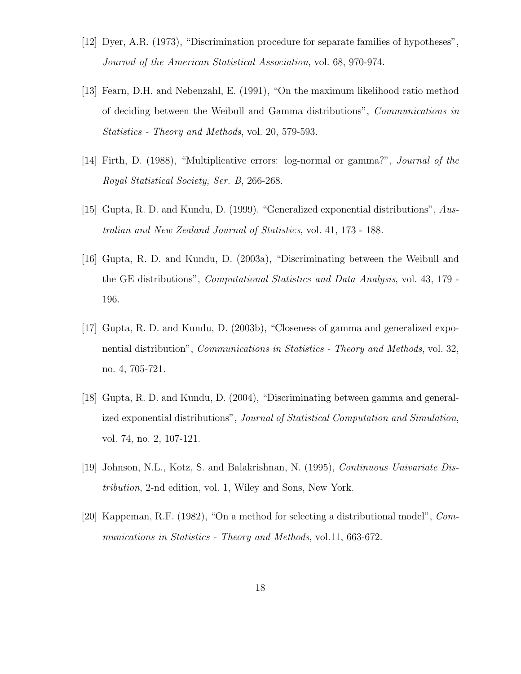- [12] Dyer, A.R. (1973), "Discrimination procedure for separate families of hypotheses", Journal of the American Statistical Association, vol. 68, 970-974.
- [13] Fearn, D.H. and Nebenzahl, E. (1991), "On the maximum likelihood ratio method of deciding between the Weibull and Gamma distributions", Communications in Statistics - Theory and Methods, vol. 20, 579-593.
- [14] Firth, D. (1988), "Multiplicative errors: log-normal or gamma?", Journal of the Royal Statistical Society, Ser. B, 266-268.
- [15] Gupta, R. D. and Kundu, D. (1999). "Generalized exponential distributions", Australian and New Zealand Journal of Statistics, vol. 41, 173 - 188.
- [16] Gupta, R. D. and Kundu, D. (2003a), "Discriminating between the Weibull and the GE distributions", Computational Statistics and Data Analysis, vol. 43, 179 - 196.
- [17] Gupta, R. D. and Kundu, D. (2003b), "Closeness of gamma and generalized exponential distribution", *Communications in Statistics - Theory and Methods*, vol. 32, no. 4, 705-721.
- [18] Gupta, R. D. and Kundu, D. (2004), "Discriminating between gamma and generalized exponential distributions", Journal of Statistical Computation and Simulation, vol. 74, no. 2, 107-121.
- [19] Johnson, N.L., Kotz, S. and Balakrishnan, N. (1995), Continuous Univariate Distribution, 2-nd edition, vol. 1, Wiley and Sons, New York.
- [20] Kappeman, R.F. (1982), "On a method for selecting a distributional model", Communications in Statistics - Theory and Methods, vol.11, 663-672.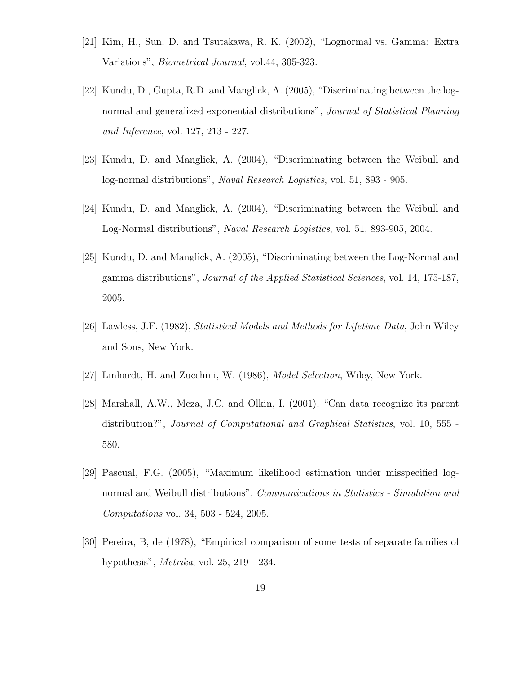- [21] Kim, H., Sun, D. and Tsutakawa, R. K. (2002), "Lognormal vs. Gamma: Extra Variations", Biometrical Journal, vol.44, 305-323.
- [22] Kundu, D., Gupta, R.D. and Manglick, A. (2005), "Discriminating between the lognormal and generalized exponential distributions", *Journal of Statistical Planning* and Inference, vol. 127, 213 - 227.
- [23] Kundu, D. and Manglick, A. (2004), "Discriminating between the Weibull and log-normal distributions", Naval Research Logistics, vol. 51, 893 - 905.
- [24] Kundu, D. and Manglick, A. (2004), "Discriminating between the Weibull and Log-Normal distributions", Naval Research Logistics, vol. 51, 893-905, 2004.
- [25] Kundu, D. and Manglick, A. (2005), "Discriminating between the Log-Normal and gamma distributions", Journal of the Applied Statistical Sciences, vol. 14, 175-187, 2005.
- [26] Lawless, J.F. (1982), Statistical Models and Methods for Lifetime Data, John Wiley and Sons, New York.
- [27] Linhardt, H. and Zucchini, W. (1986), Model Selection, Wiley, New York.
- [28] Marshall, A.W., Meza, J.C. and Olkin, I. (2001), "Can data recognize its parent distribution?", Journal of Computational and Graphical Statistics, vol. 10, 555 - 580.
- [29] Pascual, F.G. (2005), "Maximum likelihood estimation under misspecified lognormal and Weibull distributions", Communications in Statistics - Simulation and Computations vol. 34, 503 - 524, 2005.
- [30] Pereira, B, de (1978), "Empirical comparison of some tests of separate families of hypothesis", Metrika, vol. 25, 219 - 234.